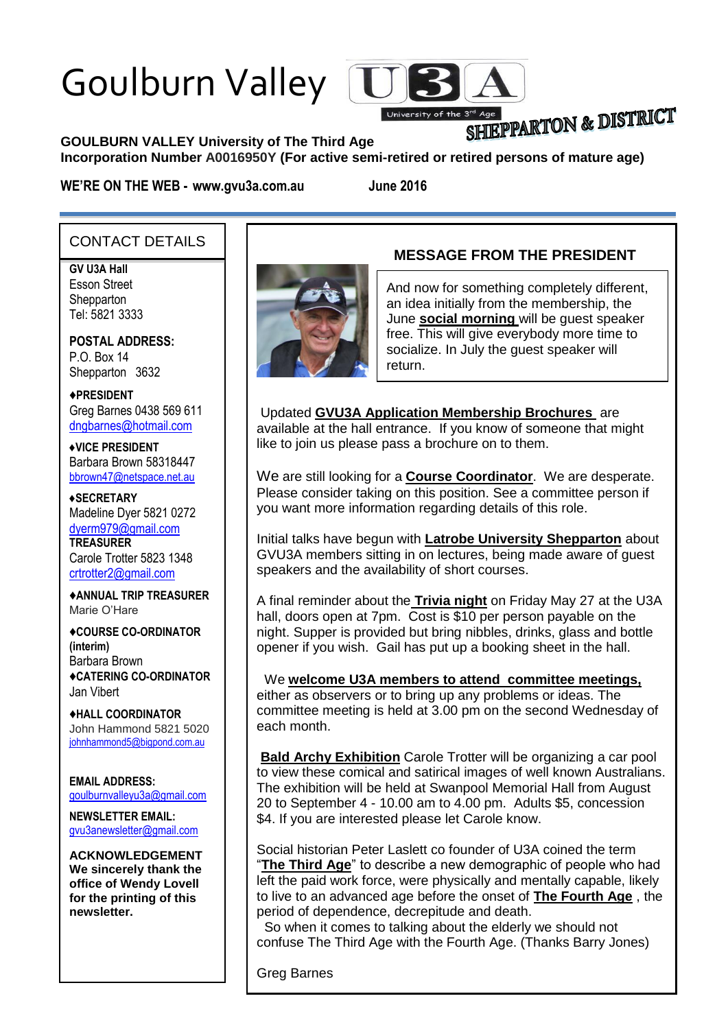# Goulburn Valley



# SHIEPPARTON & DISTRICT

#### **GOULBURN VALLEY University of The Third Age**

**Incorporation Number A0016950Y (For active semi-retired or retired persons of mature age)**

**WE'RE ON THE WEB - www.gvu3a.com.au June 2016**

#### CONTACT DETAILS

**GV U3A Hall**

Esson Street **Shepparton** Tel: 5821 3333

**POSTAL ADDRESS:** P.O. Box 14 Shepparton 3632

♦**PRESIDENT** Greg Barnes 0438 569 611 [dngbarnes@hotmail.com](mailto:dngbarnes@hotmail.com)

♦**VICE PRESIDENT** Barbara Brown 58318447 [bbrown47@netspace.net.au](mailto:bbrown47@netspace.net.au)

♦**SECRETARY** Madeline Dyer 5821 0272 [dyerm979@gmail.com](mailto:dyerm979@gmail.com) **TREASURER** Carole Trotter 5823 1348 crtrotter2@gmail.com

♦**ANNUAL TRIP TREASURER** Marie O'Hare

♦**COURSE CO-ORDINATOR (interim)** Barbara Brown ♦**CATERING CO-ORDINATOR** Jan Vibert

♦**HALL COORDINATOR** John Hammond 5821 5020 [johnhammond5@bigpond.com.au](mailto:johnhammond5@bigpond.com.au)

**EMAIL ADDRESS:** [goulburnvalleyu3a@gmail.com](mailto:goulburnvalleyu3a@gmail.com)

**NEWSLETTER EMAIL:** [gvu3anewsletter@gmail.com](mailto:gvu3anewsletter@gmail.com)

**ACKNOWLEDGEMENT We sincerely thank the office of Wendy Lovell for the printing of this newsletter.**



## **MESSAGE FROM THE PRESIDENT**

And now for something completely different, an idea initially from the membership, the June **social morning** will be guest speaker free. This will give everybody more time to socialize. In July the guest speaker will return.

Updated **GVU3A Application Membership Brochures** are available at the hall entrance. If you know of someone that might like to join us please pass a brochure on to them.

We are still looking for a **Course Coordinator**. We are desperate. Please consider taking on this position. See a committee person if you want more information regarding details of this role.

Initial talks have begun with **Latrobe University Shepparton** about GVU3A members sitting in on lectures, being made aware of guest speakers and the availability of short courses.

A final reminder about the **Trivia night** on Friday May 27 at the U3A hall, doors open at 7pm. Cost is \$10 per person payable on the night. Supper is provided but bring nibbles, drinks, glass and bottle opener if you wish. Gail has put up a booking sheet in the hall.

We **welcome U3A members to attend committee meetings,** either as observers or to bring up any problems or ideas. The

committee meeting is held at 3.00 pm on the second Wednesday of each month.

**Bald Archy Exhibition** Carole Trotter will be organizing a car pool to view these comical and satirical images of well known Australians. The exhibition will be held at Swanpool Memorial Hall from August 20 to September 4 - 10.00 am to 4.00 pm. Adults \$5, concession \$4. If you are interested please let Carole know.

Social historian Peter Laslett co founder of U3A coined the term "**The Third Age**" to describe a new demographic of people who had left the paid work force, were physically and mentally capable, likely to live to an advanced age before the onset of **The Fourth Age** , the period of dependence, decrepitude and death.

 So when it comes to talking about the elderly we should not confuse The Third Age with the Fourth Age. (Thanks Barry Jones)

Greg Barnes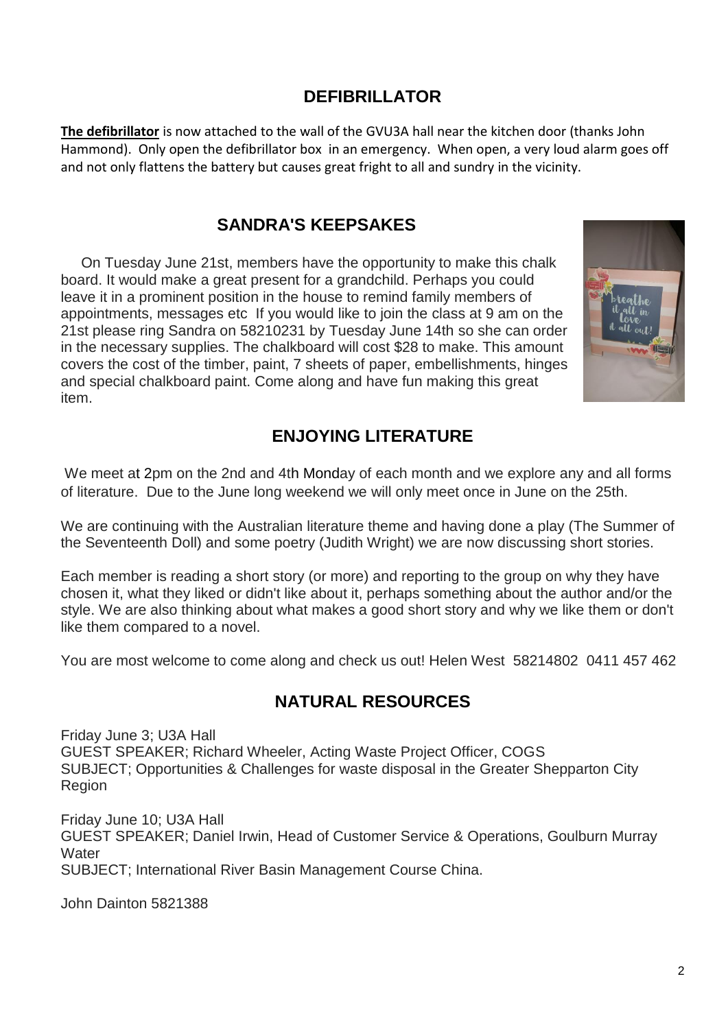### **DEFIBRILLATOR**

**The defibrillator** is now attached to the wall of the GVU3A hall near the kitchen door (thanks John Hammond). Only open the defibrillator box in an emergency. When open, a very loud alarm goes off and not only flattens the battery but causes great fright to all and sundry in the vicinity.

#### **SANDRA'S KEEPSAKES**

 On Tuesday June 21st, members have the opportunity to make this chalk board. It would make a great present for a grandchild. Perhaps you could leave it in a prominent position in the house to remind family members of appointments, messages etc If you would like to join the class at 9 am on the 21st please ring Sandra on 58210231 by Tuesday June 14th so she can order in the necessary supplies. The chalkboard will cost \$28 to make. This amount covers the cost of the timber, paint, 7 sheets of paper, embellishments, hinges and special chalkboard paint. Come along and have fun making this great item.



## **ENJOYING LITERATURE**

We meet at 2pm on the 2nd and 4th Monday of each month and we explore any and all forms of literature. Due to the June long weekend we will only meet once in June on the 25th.

We are continuing with the Australian literature theme and having done a play (The Summer of the Seventeenth Doll) and some poetry (Judith Wright) we are now discussing short stories.

Each member is reading a short story (or more) and reporting to the group on why they have chosen it, what they liked or didn't like about it, perhaps something about the author and/or the style. We are also thinking about what makes a good short story and why we like them or don't like them compared to a novel.

You are most welcome to come along and check us out! Helen West 58214802 0411 457 462

#### **NATURAL RESOURCES**

Friday June 3; U3A Hall GUEST SPEAKER; Richard Wheeler, Acting Waste Project Officer, COGS SUBJECT; Opportunities & Challenges for waste disposal in the Greater Shepparton City Region

Friday June 10; U3A Hall GUEST SPEAKER; Daniel Irwin, Head of Customer Service & Operations, Goulburn Murray **Water** SUBJECT; International River Basin Management Course China.

John Dainton 5821388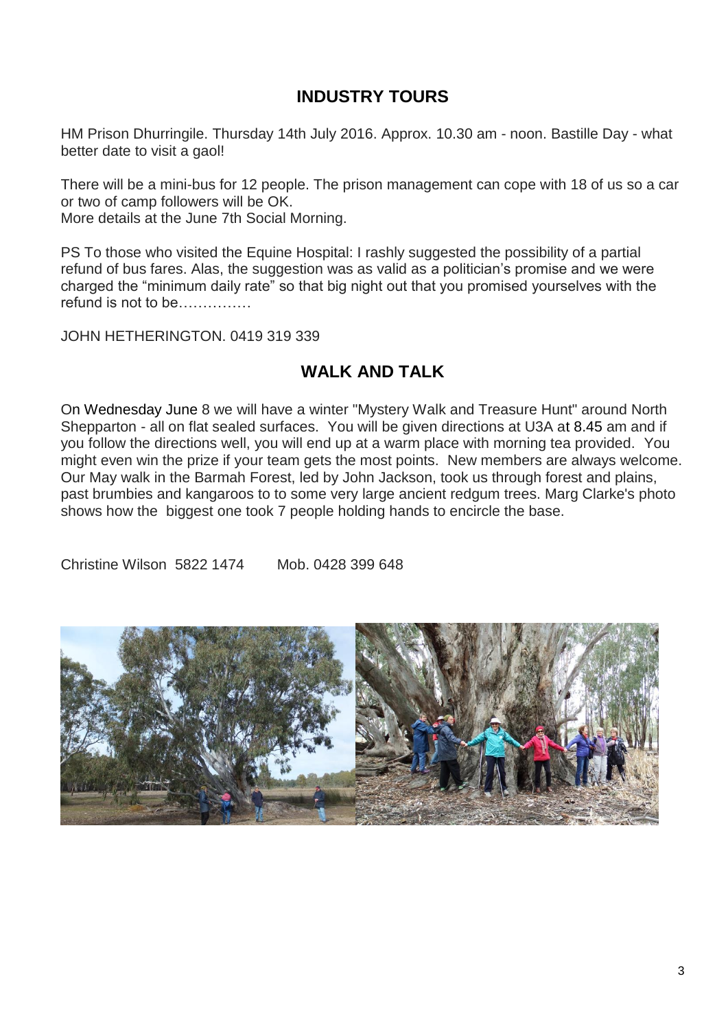# **INDUSTRY TOURS**

HM Prison Dhurringile. Thursday 14th July 2016. Approx. 10.30 am - noon. Bastille Day - what better date to visit a gaol!

There will be a mini-bus for 12 people. The prison management can cope with 18 of us so a car or two of camp followers will be OK. More details at the June 7th Social Morning.

PS To those who visited the Equine Hospital: I rashly suggested the possibility of a partial refund of bus fares. Alas, the suggestion was as valid as a politician's promise and we were charged the "minimum daily rate" so that big night out that you promised yourselves with the refund is not to be……………

#### JOHN HETHERINGTON. 0419 319 339

#### **WALK AND TALK**

On Wednesday June 8 we will have a winter "Mystery Walk and Treasure Hunt" around North Shepparton - all on flat sealed surfaces. You will be given directions at U3A at 8.45 am and if you follow the directions well, you will end up at a warm place with morning tea provided. You might even win the prize if your team gets the most points. New members are always welcome. Our May walk in the Barmah Forest, led by John Jackson, took us through forest and plains, past brumbies and kangaroos to to some very large ancient redgum trees. Marg Clarke's photo shows how the biggest one took 7 people holding hands to encircle the base.

Christine Wilson 5822 1474 Mob. 0428 399 648

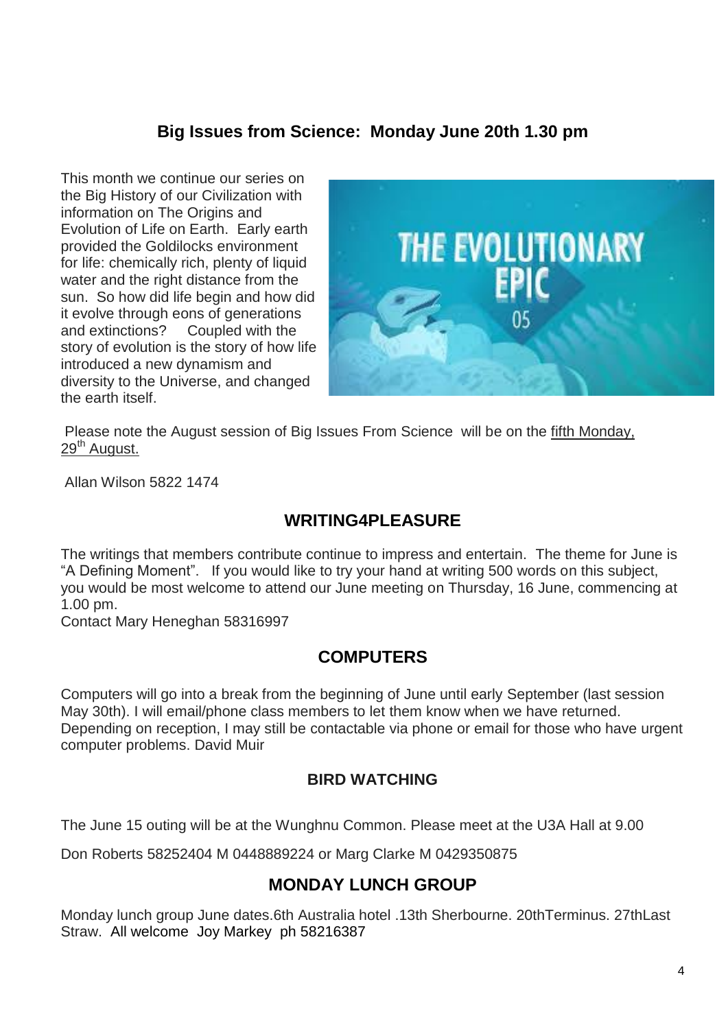#### **Big Issues from Science: Monday June 20th 1.30 pm**

This month we continue our series on the Big History of our Civilization with information on The Origins and Evolution of Life on Earth. Early earth provided the Goldilocks environment for life: chemically rich, plenty of liquid water and the right distance from the sun. So how did life begin and how did it evolve through eons of generations and extinctions? Coupled with the story of evolution is the story of how life introduced a new dynamism and diversity to the Universe, and changed the earth itself.



Please note the August session of Big Issues From Science will be on the fifth Monday, 29<sup>th</sup> August.

Allan Wilson 5822 1474

# **WRITING4PLEASURE**

The writings that members contribute continue to impress and entertain. The theme for June is "A Defining Moment". If you would like to try your hand at writing 500 words on this subject, you would be most welcome to attend our June meeting on Thursday, 16 June, commencing at 1.00 pm.

Contact Mary Heneghan 58316997

#### **COMPUTERS**

Computers will go into a break from the beginning of June until early September (last session May 30th). I will email/phone class members to let them know when we have returned. Depending on reception, I may still be contactable via phone or email for those who have urgent computer problems. David Muir

#### **BIRD WATCHING**

The June 15 outing will be at the Wunghnu Common. Please meet at the U3A Hall at 9.00

Don Roberts 58252404 M 0448889224 or Marg Clarke M 0429350875

# **MONDAY LUNCH GROUP**

Monday lunch group June dates.6th Australia hotel .13th Sherbourne. 20thTerminus. 27thLast Straw. All welcome Joy Markey ph 58216387